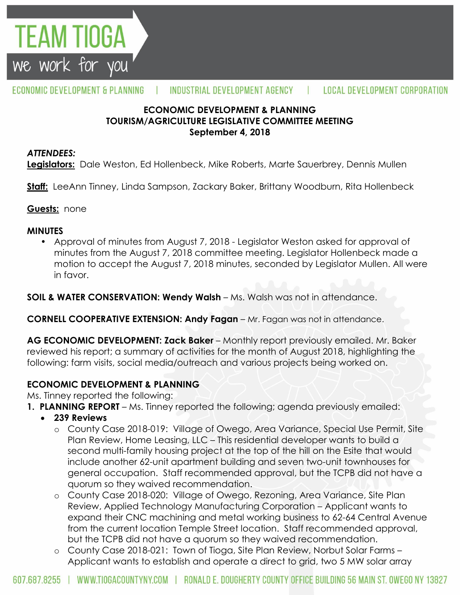

#### ECONOMIC DEVELOPMENT & PLANNING INDUSTRIAL DEVELOPMENT AGENCY L **LOCAL DEVELOPMENT CORPORATION**

## **ECONOMIC DEVELOPMENT & PLANNING TOURISM/AGRICULTURE LEGISLATIVE COMMITTEE MEETING September 4, 2018**

### *ATTENDEES:*

**Legislators:** Dale Weston, Ed Hollenbeck, Mike Roberts, Marte Sauerbrey, Dennis Mullen

**Staff:** LeeAnn Tinney, Linda Sampson, Zackary Baker, Brittany Woodburn, Rita Hollenbeck

**Guests:** none

### **MINUTES**

• Approval of minutes from August 7, 2018 - Legislator Weston asked for approval of minutes from the August 7, 2018 committee meeting. Legislator Hollenbeck made a motion to accept the August 7, 2018 minutes, seconded by Legislator Mullen. All were in favor.

**SOIL & WATER CONSERVATION: Wendy Walsh** – Ms. Walsh was not in attendance.

**CORNELL COOPERATIVE EXTENSION: Andy Fagan** – Mr. Fagan was not in attendance.

**AG ECONOMIC DEVELOPMENT: Zack Baker** – Monthly report previously emailed. Mr. Baker reviewed his report; a summary of activities for the month of August 2018, highlighting the following: farm visits, social media/outreach and various projects being worked on.

## **ECONOMIC DEVELOPMENT & PLANNING**

Ms. Tinney reported the following:

- **1. PLANNING REPORT** Ms. Tinney reported the following; agenda previously emailed:
- **239 Reviews**
	- o County Case 2018-019: Village of Owego, Area Variance, Special Use Permit, Site Plan Review, Home Leasing, LLC – This residential developer wants to build a second multi-family housing project at the top of the hill on the Esite that would include another 62-unit apartment building and seven two-unit townhouses for general occupation. Staff recommended approval, but the TCPB did not have a quorum so they waived recommendation.
	- o County Case 2018-020: Village of Owego, Rezoning, Area Variance, Site Plan Review, Applied Technology Manufacturing Corporation – Applicant wants to expand their CNC machining and metal working business to 62-64 Central Avenue from the current location Temple Street location. Staff recommended approval, but the TCPB did not have a quorum so they waived recommendation.
	- o County Case 2018-021: Town of Tioga, Site Plan Review, Norbut Solar Farms Applicant wants to establish and operate a direct to grid, two 5 MW solar array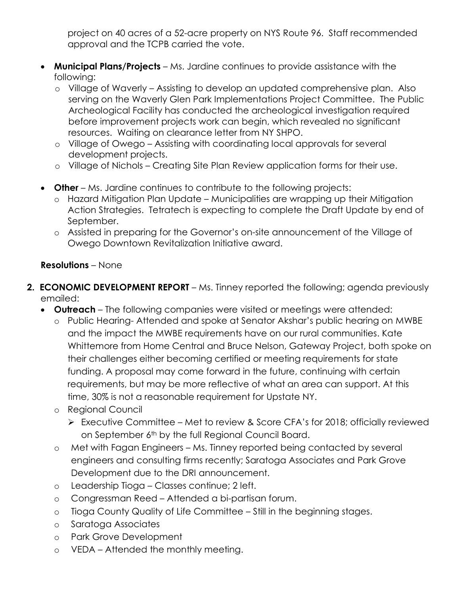project on 40 acres of a 52-acre property on NYS Route 96. Staff recommended approval and the TCPB carried the vote.

- **Municipal Plans/Projects**  Ms. Jardine continues to provide assistance with the following:
	- o Village of Waverly Assisting to develop an updated comprehensive plan. Also serving on the Waverly Glen Park Implementations Project Committee. The Public Archeological Facility has conducted the archeological investigation required before improvement projects work can begin, which revealed no significant resources. Waiting on clearance letter from NY SHPO.
	- o Village of Owego Assisting with coordinating local approvals for several development projects.
	- o Village of Nichols Creating Site Plan Review application forms for their use.
- **Other** Ms. Jardine continues to contribute to the following projects:
	- o Hazard Mitigation Plan Update Municipalities are wrapping up their Mitigation Action Strategies. Tetratech is expecting to complete the Draft Update by end of September.
	- o Assisted in preparing for the Governor's on-site announcement of the Village of Owego Downtown Revitalization Initiative award.

## **Resolutions** – None

- **2. ECONOMIC DEVELOPMENT REPORT** Ms. Tinney reported the following; agenda previously emailed:
	- **Outreach**  The following companies were visited or meetings were attended:
		- o Public Hearing- Attended and spoke at Senator Akshar's public hearing on MWBE and the impact the MWBE requirements have on our rural communities. Kate Whittemore from Home Central and Bruce Nelson, Gateway Project, both spoke on their challenges either becoming certified or meeting requirements for state funding. A proposal may come forward in the future, continuing with certain requirements, but may be more reflective of what an area can support. At this time, 30% is not a reasonable requirement for Upstate NY.
		- o Regional Council
			- Executive Committee Met to review & Score CFA's for 2018; officially reviewed on September 6th by the full Regional Council Board.
		- o Met with Fagan Engineers Ms. Tinney reported being contacted by several engineers and consulting firms recently; Saratoga Associates and Park Grove Development due to the DRI announcement.
		- o Leadership Tioga Classes continue; 2 left.
		- o Congressman Reed Attended a bi-partisan forum.
		- o Tioga County Quality of Life Committee Still in the beginning stages.
		- o Saratoga Associates
		- o Park Grove Development
		- o VEDA Attended the monthly meeting.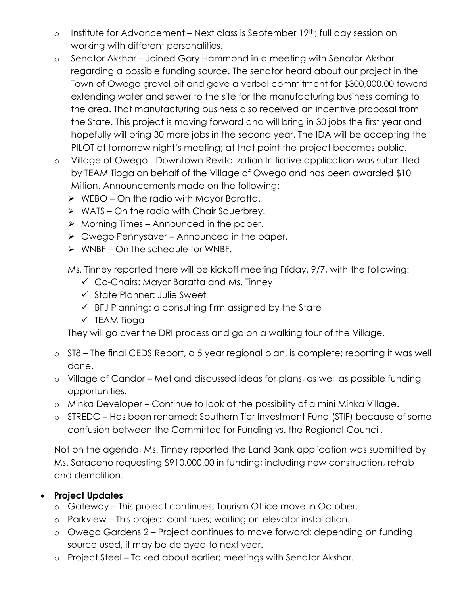- o Institute for Advancement Next class is September 19th; full day session on working with different personalities.
- o Senator Akshar Joined Gary Hammond in a meeting with Senator Akshar regarding a possible funding source. The senator heard about our project in the Town of Owego gravel pit and gave a verbal commitment for \$300,000.00 toward extending water and sewer to the site for the manufacturing business coming to the area. That manufacturing business also received an incentive proposal from the State. This project is moving forward and will bring in 30 jobs the first year and hopefully will bring 30 more jobs in the second year. The IDA will be accepting the PILOT at tomorrow night's meeting; at that point the project becomes public.
- o Village of Owego Downtown Revitalization Initiative application was submitted by TEAM Tioga on behalf of the Village of Owego and has been awarded \$10 Million. Announcements made on the following:
	- $\triangleright$  WEBO On the radio with Mayor Baratta.
	- $\triangleright$  WATS On the radio with Chair Sauerbrey.
	- $\triangleright$  Morning Times Announced in the paper.
	- $\triangleright$  Owego Pennysaver Announced in the paper.
	- $\triangleright$  WNBF On the schedule for WNBF.

Ms. Tinney reported there will be kickoff meeting Friday, 9/7, with the following:

- Co-Chairs: Mayor Baratta and Ms. Tinney
- $\checkmark$  State Planner: Julie Sweet
- $\checkmark$  BFJ Planning: a consulting firm assigned by the State
- $\checkmark$  TEAM Tioga

They will go over the DRI process and go on a walking tour of the Village.

- o ST8 The final CEDS Report, a 5 year regional plan, is complete; reporting it was well done.
- o Village of Candor Met and discussed ideas for plans, as well as possible funding opportunities.
- o Minka Developer Continue to look at the possibility of a mini Minka Village.
- o STREDC Has been renamed: Southern Tier Investment Fund (STIF) because of some confusion between the Committee for Funding vs. the Regional Council.

Not on the agenda, Ms. Tinney reported the Land Bank application was submitted by Ms. Saraceno requesting \$910,000.00 in funding; including new construction, rehab and demolition.

# **Project Updates**

- o Gateway This project continues; Tourism Office move in October.
- o Parkview This project continues; waiting on elevator installation.
- o Owego Gardens 2 Project continues to move forward; depending on funding source used, it may be delayed to next year.
- o Project Steel Talked about earlier; meetings with Senator Akshar.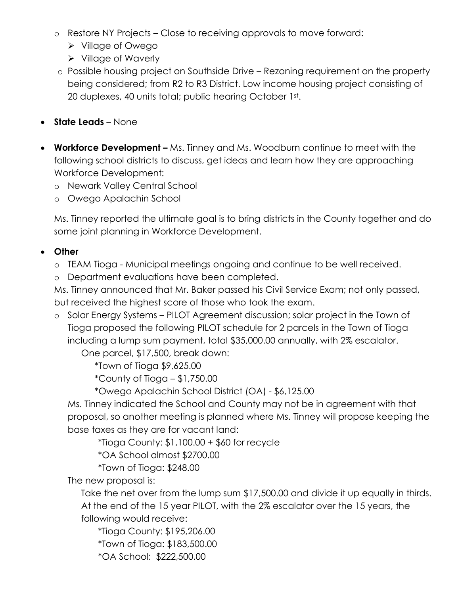- o Restore NY Projects Close to receiving approvals to move forward:
	- Village of Owego
	- $\triangleright$  Village of Waverly
- o Possible housing project on Southside Drive Rezoning requirement on the property being considered; from R2 to R3 District. Low income housing project consisting of 20 duplexes, 40 units total; public hearing October 1st.
- **State Leads** None
- **Workforce Development –** Ms. Tinney and Ms. Woodburn continue to meet with the following school districts to discuss, get ideas and learn how they are approaching Workforce Development:
	- o Newark Valley Central School
	- o Owego Apalachin School

Ms. Tinney reported the ultimate goal is to bring districts in the County together and do some joint planning in Workforce Development.

# **Other**

- o TEAM Tioga Municipal meetings ongoing and continue to be well received.
- o Department evaluations have been completed.

Ms. Tinney announced that Mr. Baker passed his Civil Service Exam; not only passed, but received the highest score of those who took the exam.

o Solar Energy Systems – PILOT Agreement discussion; solar project in the Town of Tioga proposed the following PILOT schedule for 2 parcels in the Town of Tioga including a lump sum payment, total \$35,000.00 annually, with 2% escalator.

One parcel, \$17,500, break down:

\*Town of Tioga \$9,625.00

\*County of Tioga – \$1,750.00

\*Owego Apalachin School District (OA) - \$6,125.00

Ms. Tinney indicated the School and County may not be in agreement with that proposal, so another meeting is planned where Ms. Tinney will propose keeping the base taxes as they are for vacant land:

\*Tioga County: \$1,100.00 + \$60 for recycle

\*OA School almost \$2700.00

\*Town of Tioga: \$248.00

The new proposal is:

Take the net over from the lump sum \$17,500.00 and divide it up equally in thirds. At the end of the 15 year PILOT, with the 2% escalator over the 15 years, the following would receive:

\*Tioga County: \$195,206.00 \*Town of Tioga: \$183,500.00 \*OA School: \$222,500.00